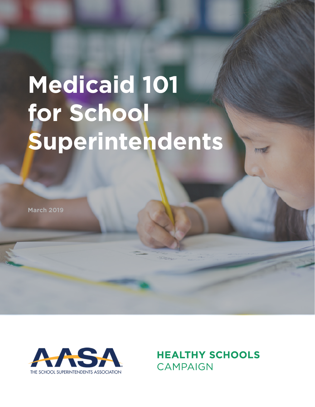# **Medicaid 101 for School Superintendents**

**March 2019**



**HEALTHY SCHOOLS CAMPAIGN**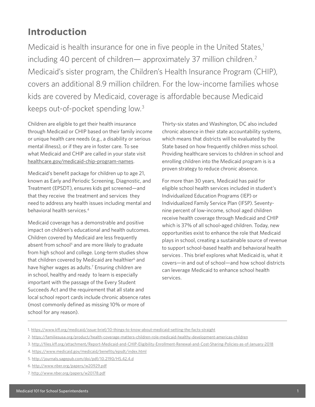### **Introduction**

Medicaid is health insurance for one in five people in the United States, $1$ including 40 percent of children— approximately 37 million children.<sup>2</sup> Medicaid's sister program, the Children's Health Insurance Program (CHIP), covers an additional 8.9 million children. For the low-income families whose kids are covered by Medicaid, coverage is affordable because Medicaid keeps out-of-pocket spending low.3

Children are eligible to get their health insurance through Medicaid or CHIP based on their family income or unique health care needs (e.g., a disability or serious mental illness), or if they are in foster care. To see what Medicaid and CHIP are called in your state visit [healthcare.gov/medicaid-chip-program-names](http://healthcare.gov/medicaid-chip-program-names).

Medicaid's benefit package for children up to age 21, known as Early and Periodic Screening, Diagnostic, and Treatment (EPSDT), ensures kids get screened—and that they receive the treatment and services they need to address any health issues including mental and behavioral health services.4

Medicaid coverage has a demonstrable and positive impact on children's educational and health outcomes. Children covered by Medicaid are less frequently absent from school<sup>5</sup> and are more likely to graduate from high school and college. Long-term studies show that children covered by Medicaid are healthier<sup>6</sup> and have higher wages as adults.7 Ensuring children are in school, healthy and ready to learn is especially important with the passage of the Every Student Succeeds Act and the requirement that all state and local school report cards include chronic absence rates (most commonly defined as missing 10% or more of school for any reason).

Thirty-six states and Washington, DC also included chronic absence in their state accountability systems, which means that districts will be evaluated by the State based on how frequently children miss school. Providing healthcare services to children in school and enrolling children into the Medicaid program is is a proven strategy to reduce chronic absence.

For more than 30 years, Medicaid has paid for eligible school health services included in student's Individualized Education Programs (IEP) or Individualized Family Service Plan (IFSP). Seventynine percent of low-income, school aged children receive health coverage through Medicaid and CHIP which is 37% of all school-aged children. Today, new opportunities exist to enhance the role that Medicaid plays in school, creating a sustainable source of revenue to support school-based health and behavioral health services . This brief explores what Medicaid is, what it covers—in and out of school—and how school districts can leverage Medicaid to enhance school health services.

- 3. <http://files.kff.org/attachment/Report-Medicaid-and-CHIP-Eligibility-Enrollment-Renewal-and-Cost-Sharing-Policies-as-of-January-2018>
- 4. <https://www.medicaid.gov/medicaid/benefits/epsdt/index.html>
- 5.<http://journals.sagepub.com/doi/pdf/10.2190/HS.42.4.d>
- 6.<http://www.nber.org/papers/w20929.pdf>
- 7.<http://www.nber.org/papers/w20178.pdf>

<sup>1.</sup> [https://www.kff.org/medicaid/issue-brief/10-things-to-know-about-medicaid-setting-the-facts-straight](https://www.kff.org/medicaid/issue-brief/10-things-to-know-about-medicaid-setting-the-facts-straight/)

<sup>2.</sup> <https://familiesusa.org/product/health-coverage-matters-children-role-medicaid-healthy-development-americas-children>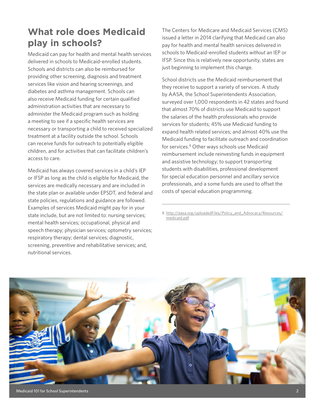# **What role does Medicaid play in schools?**

Medicaid can pay for health and mental health services delivered in schools to Medicaid-enrolled students. Schools and districts can also be reimbursed for providing other screening, diagnosis and treatment services like vision and hearing screenings, and diabetes and asthma management. Schools can also receive Medicaid funding for certain qualified administration activities that are necessary to administer the Medicaid program such as holding a meeting to see if a specific health services are necessary or transporting a child to received specialized treatment at a facility outside the school. Schools can receive funds for outreach to potentially eligible children, and for activities that can facilitate children's access to care.

Medicaid has always covered services in a child's IEP or IFSP as long as the child is eligible for Medicaid, the services are medically necessary and are included in the state plan or available under EPSDT, and federal and state policies, regulations and guidance are followed. Examples of services Medicaid might pay for in your state include, but are not limited to: nursing services; mental health services; occupational, physical and speech therapy; physician services; optometry services; respiratory therapy; dental services; diagnostic, screening, preventive and rehabilitative services; and, nutritional services.

The Centers for Medicare and Medicaid Services (CMS) issued a letter in 2014 clarifying that Medicaid can also pay for health and mental health services delivered in schools to Medicaid-enrolled students *without* an IEP or IFSP. Since this is relatively new opportunity, states are just beginning to implement this change.

School districts use the Medicaid reimbursement that they receive to support a variety of services. A study by AASA, the School Superintendents Association, surveyed over 1,000 respondents in 42 states and found that almost 70% of districts use Medicaid to support the salaries of the health professionals who provide services for students; 45% use Medicaid funding to expand health related services; and almost 40% use the Medicaid funding to facilitate outreach and coordination for services.8 Other ways schools use Medicaid reimbursement include reinvesting funds in equipment and assistive technology; to support transporting students with disabilities, professional development for special education personnel and ancillary service professionals, and a some funds are used to offset the costs of special education programming.

8. [http://aasa.org/uploadedFiles/Policy\\_and\\_Advocacy/Resources/](http://aasa.org/uploadedFiles/Policy_and_Advocacy/Resources/medicaid.pdf) [medicaid.pdf](http://aasa.org/uploadedFiles/Policy_and_Advocacy/Resources/medicaid.pdf)



Medicaid 101 for School Superintendents 2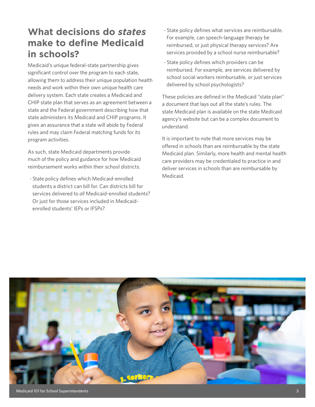# **What decisions do** *states* **make to define Medicaid in schools?**

Medicaid's unique federal-state partnership gives significant control over the program to each state, allowing them to address their unique population health needs and work within their own unique health care delivery system. Each state creates a Medicaid and CHIP state plan that serves as an agreement between a state and the Federal government describing how that state administers its Medicaid and CHIP programs. It gives an assurance that a state will abide by Federal rules and may claim Federal matching funds for its program activities.

As such, state Medicaid departments provide much of the policy and guidance for how Medicaid reimbursement works within their school districts.

· State policy defines which Medicaid-enrolled students a district can bill for. Can districts bill for services delivered to *all* Medicaid-enrolled students? Or just for those services included in Medicaidenrolled students' IEPs or IFSPs?

- · State policy defines what services are reimbursable. For example, can speech-language therapy be reimbursed, or just physical therapy services? Are services provided by a school nurse reimbursable?
- · State policy defines which providers can be reimbursed. For example, are services delivered by school social workers reimbursable, or just services delivered by school psychologists?

These policies are defined in the Medicaid "state plan" a document that lays out all the state's rules. The state Medicaid plan is available on the state Medicaid agency's website but can be a complex document to understand.

It is important to note that more services may be offered in schools than are reimbursable by the state Medicaid plan. Similarly, more health and mental health care providers may be credentialed to practice in and deliver services in schools than are reimbursable by Medicaid.

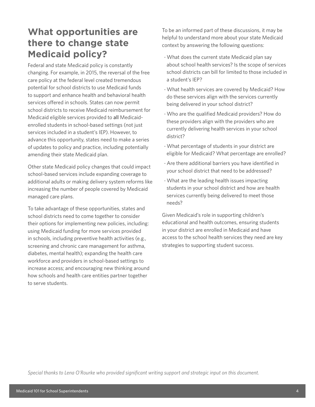## **What opportunities are there to change state Medicaid policy?**

Federal and state Medicaid policy is constantly changing. For example, in 2015, the reversal of the free care policy at the federal level created tremendous potential for school districts to use Medicaid funds to support and enhance health and behavioral health services offered in schools. States can now permit school districts to receive Medicaid reimbursement for Medicaid eligible services provided to all Medicaidenrolled students in school-based settings (not just services included in a student's IEP). However, to advance this opportunity, states need to make a series of updates to policy and practice, including potentially amending their state Medicaid plan.

Other state Medicaid policy changes that could impact school-based services include expanding coverage to additional adults or making delivery system reforms like increasing the number of people covered by Medicaid managed care plans.

To take advantage of these opportunities, states and school districts need to come together to consider their options for implementing new policies, including: using Medicaid funding for more services provided in schools, including preventive health activities (e.g., screening and chronic care management for asthma, diabetes, mental health); expanding the health care workforce and providers in school-based settings to increase access; and encouraging new thinking around how schools and health care entities partner together to serve students.

To be an informed part of these discussions, it may be helpful to understand more about your state Medicaid context by answering the following questions:

- · What does the current state Medicaid plan say about school health services? Is the scope of services school districts can bill for limited to those included in a student's IEP?
- · What health services are covered by Medicaid? How do these services align with the services currently being delivered in your school district?
- · Who are the qualified Medicaid providers? How do these providers align with the providers who are currently delivering health services in your school district?
- · What percentage of students in your district are eligible for Medicaid? What percentage are enrolled?
- · Are there additional barriers you have identified in your school district that need to be addressed?
- · What are the leading health issues impacting students in your school district and how are health services currently being delivered to meet those needs?

Given Medicaid's role in supporting children's educational and health outcomes, ensuring students in your district are enrolled in Medicaid and have access to the school health services they need are key strategies to supporting student success.

*Special thanks to Lena O'Rourke who provided significant writing support and strategic input on this document.*